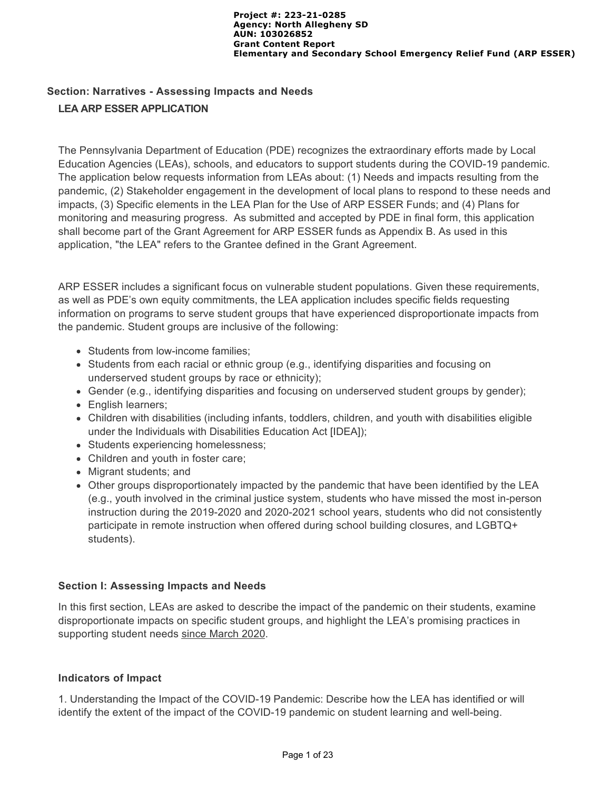# **Section: Narratives - Assessing Impacts and Needs LEA ARP ESSER APPLICATION**

The Pennsylvania Department of Education (PDE) recognizes the extraordinary efforts made by Local Education Agencies (LEAs), schools, and educators to support students during the COVID-19 pandemic. The application below requests information from LEAs about: (1) Needs and impacts resulting from the pandemic, (2) Stakeholder engagement in the development of local plans to respond to these needs and impacts, (3) Specific elements in the LEA Plan for the Use of ARP ESSER Funds; and (4) Plans for monitoring and measuring progress. As submitted and accepted by PDE in final form, this application shall become part of the Grant Agreement for ARP ESSER funds as Appendix B. As used in this application, "the LEA" refers to the Grantee defined in the Grant Agreement.

ARP ESSER includes a significant focus on vulnerable student populations. Given these requirements, as well as PDE's own equity commitments, the LEA application includes specific fields requesting information on programs to serve student groups that have experienced disproportionate impacts from the pandemic. Student groups are inclusive of the following:

- Students from low-income families;
- Students from each racial or ethnic group (e.g., identifying disparities and focusing on underserved student groups by race or ethnicity);
- Gender (e.g., identifying disparities and focusing on underserved student groups by gender);
- English learners;
- Children with disabilities (including infants, toddlers, children, and youth with disabilities eligible under the Individuals with Disabilities Education Act [IDEA]);
- Students experiencing homelessness;
- Children and youth in foster care;
- Migrant students; and
- Other groups disproportionately impacted by the pandemic that have been identified by the LEA (e.g., youth involved in the criminal justice system, students who have missed the most in-person instruction during the 2019-2020 and 2020-2021 school years, students who did not consistently participate in remote instruction when offered during school building closures, and LGBTQ+ students).

### **Section I: Assessing Impacts and Needs**

In this first section, LEAs are asked to describe the impact of the pandemic on their students, examine disproportionate impacts on specific student groups, and highlight the LEA's promising practices in supporting student needs since March 2020.

# **Indicators of Impact**

1. Understanding the Impact of the COVID-19 Pandemic: Describe how the LEA has identified or will identify the extent of the impact of the COVID-19 pandemic on student learning and well-being.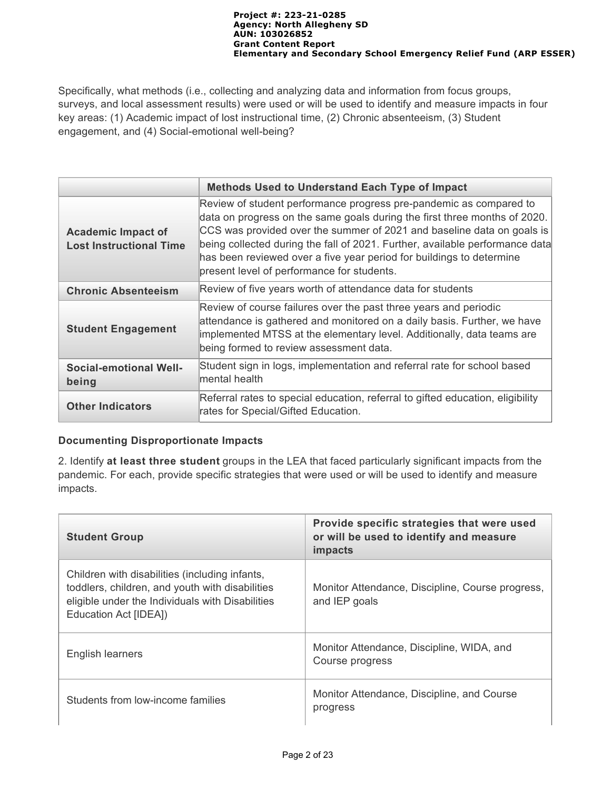Specifically, what methods (i.e., collecting and analyzing data and information from focus groups, surveys, and local assessment results) were used or will be used to identify and measure impacts in four key areas: (1) Academic impact of lost instructional time, (2) Chronic absenteeism, (3) Student engagement, and (4) Social-emotional well-being?

|                                                             | <b>Methods Used to Understand Each Type of Impact</b>                                                                                                                                                                                                                                                                                                                                                                           |
|-------------------------------------------------------------|---------------------------------------------------------------------------------------------------------------------------------------------------------------------------------------------------------------------------------------------------------------------------------------------------------------------------------------------------------------------------------------------------------------------------------|
| <b>Academic Impact of</b><br><b>Lost Instructional Time</b> | Review of student performance progress pre-pandemic as compared to<br>data on progress on the same goals during the first three months of 2020.<br>CCS was provided over the summer of 2021 and baseline data on goals is<br>being collected during the fall of 2021. Further, available performance data<br>has been reviewed over a five year period for buildings to determine<br>present level of performance for students. |
| <b>Chronic Absenteeism</b>                                  | Review of five years worth of attendance data for students                                                                                                                                                                                                                                                                                                                                                                      |
| <b>Student Engagement</b>                                   | Review of course failures over the past three years and periodic<br>attendance is gathered and monitored on a daily basis. Further, we have<br>implemented MTSS at the elementary level. Additionally, data teams are<br>being formed to review assessment data.                                                                                                                                                                |
| <b>Social-emotional Well-</b><br>being                      | Student sign in logs, implementation and referral rate for school based<br>mental health                                                                                                                                                                                                                                                                                                                                        |
| <b>Other Indicators</b>                                     | Referral rates to special education, referral to gifted education, eligibility<br>rates for Special/Gifted Education.                                                                                                                                                                                                                                                                                                           |

# **Documenting Disproportionate Impacts**

2. Identify **at least three student** groups in the LEA that faced particularly significant impacts from the pandemic. For each, provide specific strategies that were used or will be used to identify and measure impacts.

| <b>Student Group</b>                                                                                                                                                           | Provide specific strategies that were used<br>or will be used to identify and measure<br>impacts |
|--------------------------------------------------------------------------------------------------------------------------------------------------------------------------------|--------------------------------------------------------------------------------------------------|
| Children with disabilities (including infants,<br>toddlers, children, and youth with disabilities<br>eligible under the Individuals with Disabilities<br>Education Act [IDEA]) | Monitor Attendance, Discipline, Course progress,<br>and IEP goals                                |
| English learners                                                                                                                                                               | Monitor Attendance, Discipline, WIDA, and<br>Course progress                                     |
| Students from low-income families                                                                                                                                              | Monitor Attendance, Discipline, and Course<br>progress                                           |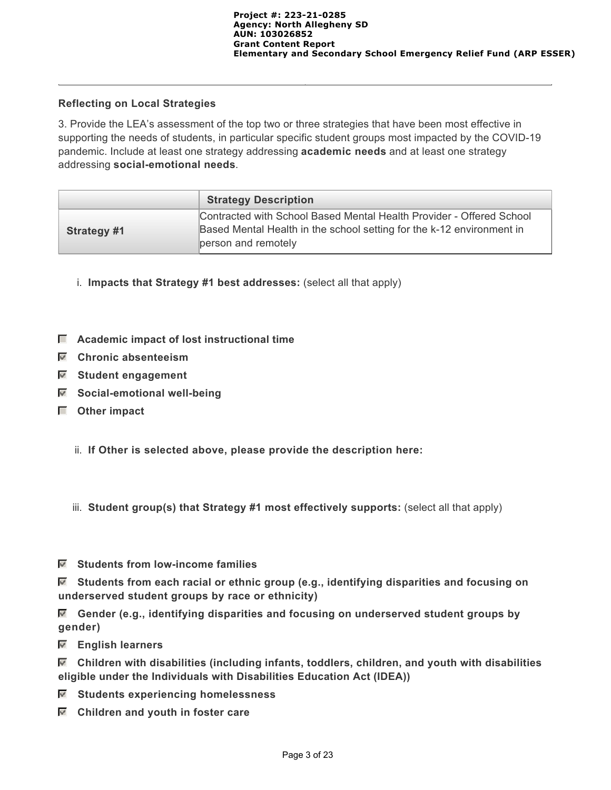### **Reflecting on Local Strategies**

3. Provide the LEA's assessment of the top two or three strategies that have been most effective in supporting the needs of students, in particular specific student groups most impacted by the COVID-19 pandemic. Include at least one strategy addressing **academic needs** and at least one strategy addressing **social-emotional needs**.

|             | <b>Strategy Description</b>                                                                                                                                          |
|-------------|----------------------------------------------------------------------------------------------------------------------------------------------------------------------|
| Strategy #1 | Contracted with School Based Mental Health Provider - Offered School<br>Based Mental Health in the school setting for the k-12 environment in<br>person and remotely |

- i. **Impacts that Strategy #1 best addresses:** (select all that apply)
- $\Box$  Academic impact of lost instructional time
- **Chronic absenteeism**
- **Student engagement**
- **Social-emotional well-being**
- **Other impact**
	- ii. **If Other is selected above, please provide the description here:**
	- iii. **Student group(s) that Strategy #1 most effectively supports:** (select all that apply)
- **Students from low-income families**

 **Students from each racial or ethnic group (e.g., identifying disparities and focusing on underserved student groups by race or ethnicity)**

 **Gender (e.g., identifying disparities and focusing on underserved student groups by gender)**

 **English learners**

 **Children with disabilities (including infants, toddlers, children, and youth with disabilities eligible under the Individuals with Disabilities Education Act (IDEA))**

- **Students experiencing homelessness**
- **Children and youth in foster care**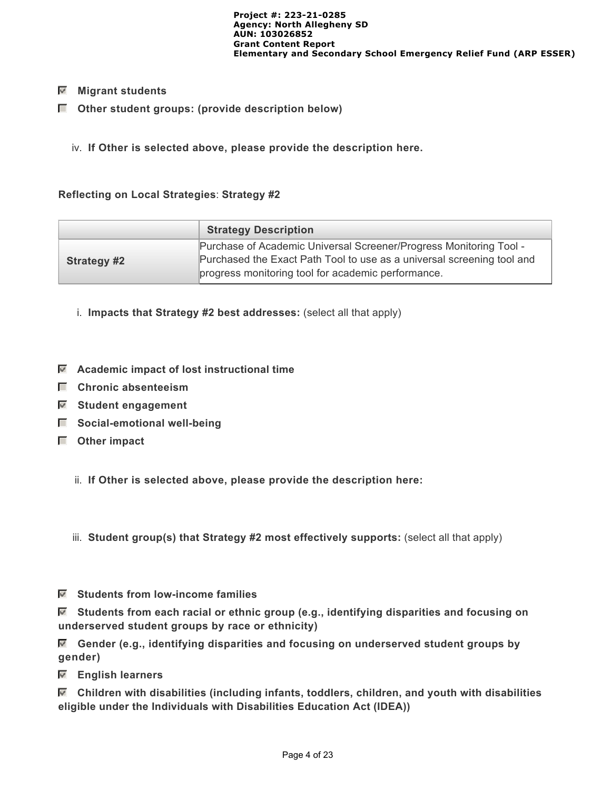### **Migrant students**

- $\Box$  Other student groups: (provide description below)
	- iv. **If Other is selected above, please provide the description here.**

### **Reflecting on Local Strategies**: **Strategy #2**

|                    | <b>Strategy Description</b>                                                                                                                                                                        |
|--------------------|----------------------------------------------------------------------------------------------------------------------------------------------------------------------------------------------------|
| <b>Strategy #2</b> | Purchase of Academic Universal Screener/Progress Monitoring Tool -<br>Purchased the Exact Path Tool to use as a universal screening tool and<br>progress monitoring tool for academic performance. |

- i. **Impacts that Strategy #2 best addresses:** (select all that apply)
- **Academic impact of lost instructional time**
- **Chronic absenteeism**
- **Student engagement**
- $\Box$  Social-emotional well-being
- **Other impact**
	- ii. **If Other is selected above, please provide the description here:**

iii. **Student group(s) that Strategy #2 most effectively supports:** (select all that apply)

 **Students from low-income families**

 **Students from each racial or ethnic group (e.g., identifying disparities and focusing on underserved student groups by race or ethnicity)**

 **Gender (e.g., identifying disparities and focusing on underserved student groups by gender)**

 **English learners**

 **Children with disabilities (including infants, toddlers, children, and youth with disabilities eligible under the Individuals with Disabilities Education Act (IDEA))**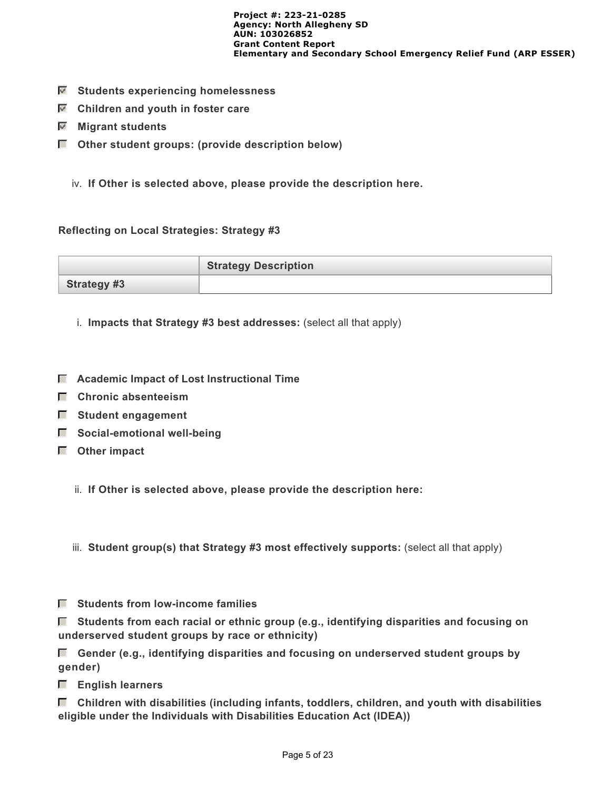- **Students experiencing homelessness**
- **Children and youth in foster care**
- **Migrant students**
- **Other student groups: (provide description below)**
	- iv. **If Other is selected above, please provide the description here.**

#### **Reflecting on Local Strategies: Strategy #3**

|                    | <b>Strategy Description</b> |
|--------------------|-----------------------------|
| <b>Strategy #3</b> |                             |

- i. **Impacts that Strategy #3 best addresses:** (select all that apply)
- **Academic Impact of Lost Instructional Time**
- **Chronic absenteeism**
- $\blacksquare$  Student engagement
- $\Box$  Social-emotional well-being
- **Other impact**

ii. **If Other is selected above, please provide the description here:**

iii. **Student group(s) that Strategy #3 most effectively supports:** (select all that apply)

 **Students from low-income families**

 **Students from each racial or ethnic group (e.g., identifying disparities and focusing on underserved student groups by race or ethnicity)**

 **Gender (e.g., identifying disparities and focusing on underserved student groups by gender)**

 **English learners**

 **Children with disabilities (including infants, toddlers, children, and youth with disabilities eligible under the Individuals with Disabilities Education Act (IDEA))**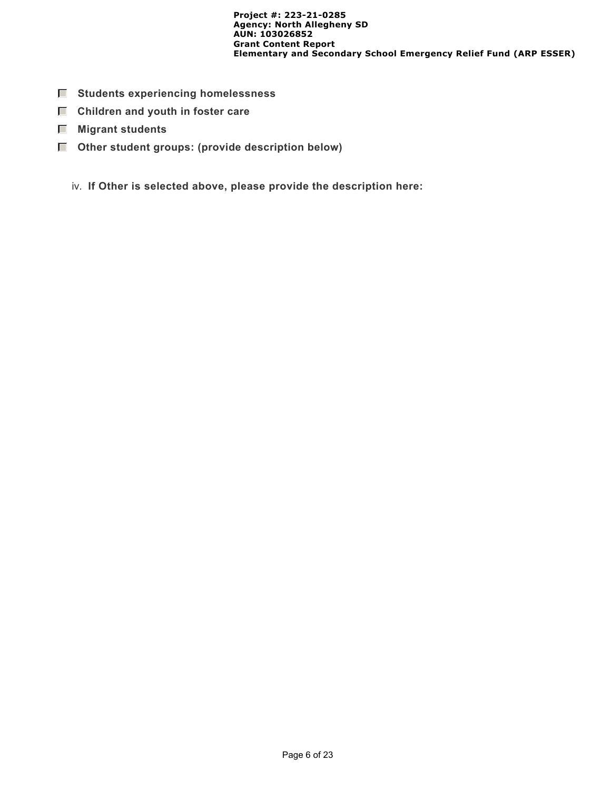- **Students experiencing homelessness**
- $\Box$  Children and youth in foster care
- **Migrant students**
- **Other student groups: (provide description below)**
	- iv. **If Other is selected above, please provide the description here:**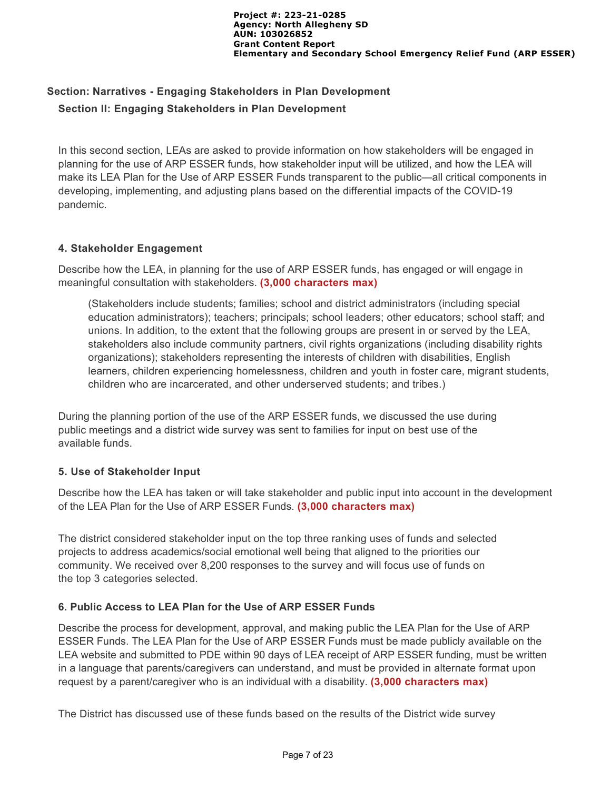# **Section: Narratives - Engaging Stakeholders in Plan Development Section II: Engaging Stakeholders in Plan Development**

In this second section, LEAs are asked to provide information on how stakeholders will be engaged in planning for the use of ARP ESSER funds, how stakeholder input will be utilized, and how the LEA will make its LEA Plan for the Use of ARP ESSER Funds transparent to the public—all critical components in developing, implementing, and adjusting plans based on the differential impacts of the COVID-19 pandemic.

# **4. Stakeholder Engagement**

Describe how the LEA, in planning for the use of ARP ESSER funds, has engaged or will engage in meaningful consultation with stakeholders. **(3,000 characters max)**

(Stakeholders include students; families; school and district administrators (including special education administrators); teachers; principals; school leaders; other educators; school staff; and unions. In addition, to the extent that the following groups are present in or served by the LEA, stakeholders also include community partners, civil rights organizations (including disability rights organizations); stakeholders representing the interests of children with disabilities, English learners, children experiencing homelessness, children and youth in foster care, migrant students, children who are incarcerated, and other underserved students; and tribes.)

During the planning portion of the use of the ARP ESSER funds, we discussed the use during public meetings and a district wide survey was sent to families for input on best use of the available funds.

# **5. Use of Stakeholder Input**

Describe how the LEA has taken or will take stakeholder and public input into account in the development of the LEA Plan for the Use of ARP ESSER Funds. **(3,000 characters max)**

The district considered stakeholder input on the top three ranking uses of funds and selected projects to address academics/social emotional well being that aligned to the priorities our community. We received over 8,200 responses to the survey and will focus use of funds on the top 3 categories selected.

### **6. Public Access to LEA Plan for the Use of ARP ESSER Funds**

Describe the process for development, approval, and making public the LEA Plan for the Use of ARP ESSER Funds. The LEA Plan for the Use of ARP ESSER Funds must be made publicly available on the LEA website and submitted to PDE within 90 days of LEA receipt of ARP ESSER funding, must be written in a language that parents/caregivers can understand, and must be provided in alternate format upon request by a parent/caregiver who is an individual with a disability. **(3,000 characters max)**

The District has discussed use of these funds based on the results of the District wide survey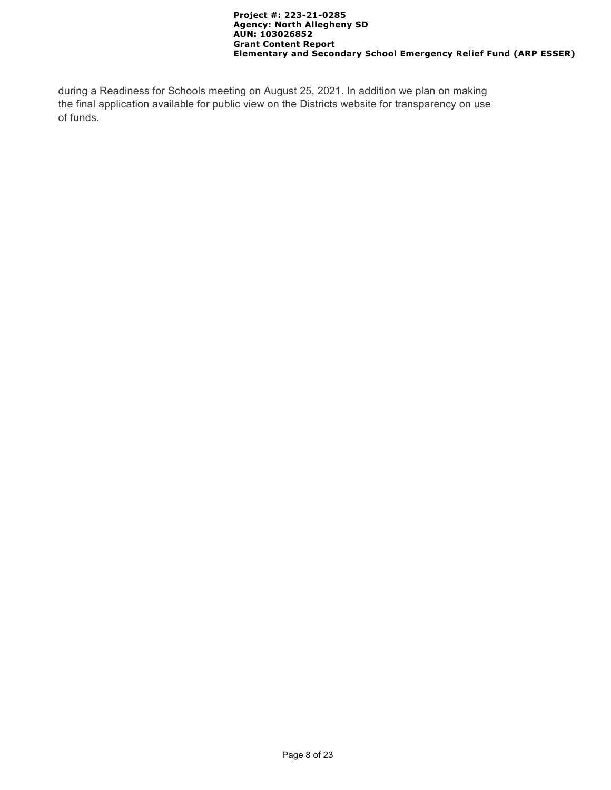during a Readiness for Schools meeting on August 25, 2021. In addition we plan on making the final application available for public view on the Districts website for transparency on use of funds.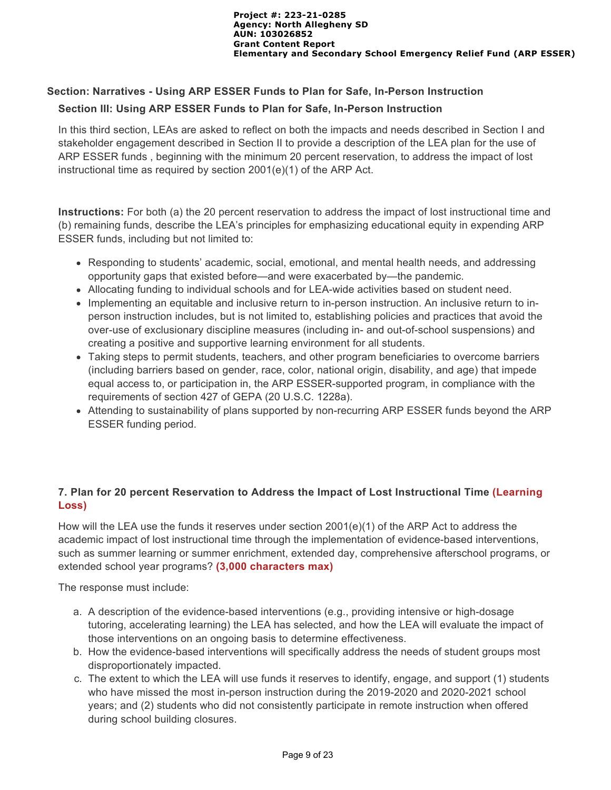# **Section: Narratives - Using ARP ESSER Funds to Plan for Safe, In-Person Instruction**

# **Section III: Using ARP ESSER Funds to Plan for Safe, In-Person Instruction**

In this third section, LEAs are asked to reflect on both the impacts and needs described in Section I and stakeholder engagement described in Section II to provide a description of the LEA plan for the use of ARP ESSER funds , beginning with the minimum 20 percent reservation, to address the impact of lost instructional time as required by section 2001(e)(1) of the ARP Act.

**Instructions:** For both (a) the 20 percent reservation to address the impact of lost instructional time and (b) remaining funds, describe the LEA's principles for emphasizing educational equity in expending ARP ESSER funds, including but not limited to:

- Responding to students' academic, social, emotional, and mental health needs, and addressing opportunity gaps that existed before—and were exacerbated by—the pandemic.
- Allocating funding to individual schools and for LEA-wide activities based on student need.
- Implementing an equitable and inclusive return to in-person instruction. An inclusive return to inperson instruction includes, but is not limited to, establishing policies and practices that avoid the over-use of exclusionary discipline measures (including in- and out-of-school suspensions) and creating a positive and supportive learning environment for all students.
- Taking steps to permit students, teachers, and other program beneficiaries to overcome barriers (including barriers based on gender, race, color, national origin, disability, and age) that impede equal access to, or participation in, the ARP ESSER-supported program, in compliance with the requirements of section 427 of GEPA (20 U.S.C. 1228a).
- Attending to sustainability of plans supported by non-recurring ARP ESSER funds beyond the ARP ESSER funding period.

# **7. Plan for 20 percent Reservation to Address the Impact of Lost Instructional Time (Learning Loss)**

How will the LEA use the funds it reserves under section 2001(e)(1) of the ARP Act to address the academic impact of lost instructional time through the implementation of evidence-based interventions, such as summer learning or summer enrichment, extended day, comprehensive afterschool programs, or extended school year programs? **(3,000 characters max)** 

The response must include:

- a. A description of the evidence-based interventions (e.g., providing intensive or high-dosage tutoring, accelerating learning) the LEA has selected, and how the LEA will evaluate the impact of those interventions on an ongoing basis to determine effectiveness.
- b. How the evidence-based interventions will specifically address the needs of student groups most disproportionately impacted.
- c. The extent to which the LEA will use funds it reserves to identify, engage, and support (1) students who have missed the most in-person instruction during the 2019-2020 and 2020-2021 school years; and (2) students who did not consistently participate in remote instruction when offered during school building closures.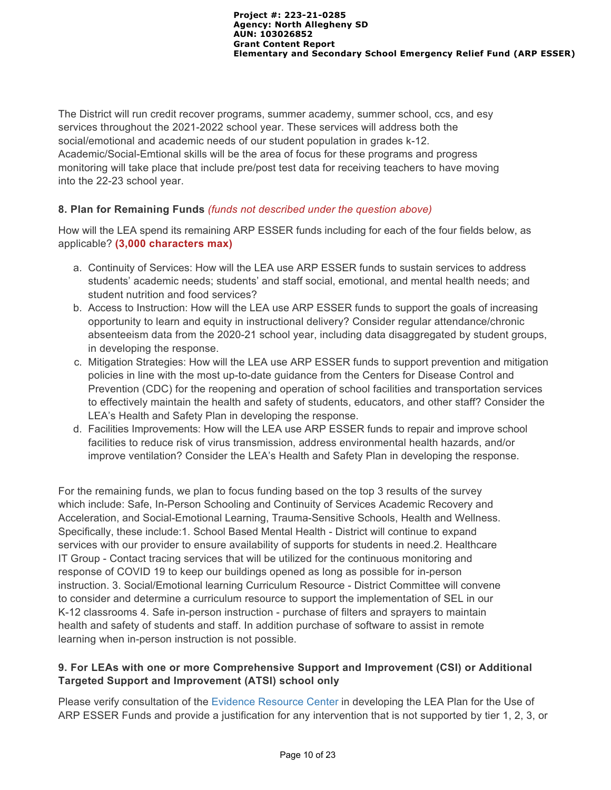The District will run credit recover programs, summer academy, summer school, ccs, and esy services throughout the 2021-2022 school year. These services will address both the social/emotional and academic needs of our student population in grades k-12. Academic/Social-Emtional skills will be the area of focus for these programs and progress monitoring will take place that include pre/post test data for receiving teachers to have moving into the 22-23 school year.

# **8. Plan for Remaining Funds** *(funds not described under the question above)*

How will the LEA spend its remaining ARP ESSER funds including for each of the four fields below, as applicable? **(3,000 characters max)**

- a. Continuity of Services: How will the LEA use ARP ESSER funds to sustain services to address students' academic needs; students' and staff social, emotional, and mental health needs; and student nutrition and food services?
- b. Access to Instruction: How will the LEA use ARP ESSER funds to support the goals of increasing opportunity to learn and equity in instructional delivery? Consider regular attendance/chronic absenteeism data from the 2020-21 school year, including data disaggregated by student groups, in developing the response.
- c. Mitigation Strategies: How will the LEA use ARP ESSER funds to support prevention and mitigation policies in line with the most up-to-date guidance from the Centers for Disease Control and Prevention (CDC) for the reopening and operation of school facilities and transportation services to effectively maintain the health and safety of students, educators, and other staff? Consider the LEA's Health and Safety Plan in developing the response.
- d. Facilities Improvements: How will the LEA use ARP ESSER funds to repair and improve school facilities to reduce risk of virus transmission, address environmental health hazards, and/or improve ventilation? Consider the LEA's Health and Safety Plan in developing the response.

For the remaining funds, we plan to focus funding based on the top 3 results of the survey which include: Safe, In-Person Schooling and Continuity of Services Academic Recovery and Acceleration, and Social-Emotional Learning, Trauma-Sensitive Schools, Health and Wellness. Specifically, these include:1. School Based Mental Health - District will continue to expand services with our provider to ensure availability of supports for students in need.2. Healthcare IT Group - Contact tracing services that will be utilized for the continuous monitoring and response of COVID 19 to keep our buildings opened as long as possible for in-person instruction. 3. Social/Emotional learning Curriculum Resource - District Committee will convene to consider and determine a curriculum resource to support the implementation of SEL in our K-12 classrooms 4. Safe in-person instruction - purchase of filters and sprayers to maintain health and safety of students and staff. In addition purchase of software to assist in remote learning when in-person instruction is not possible.

# **9. For LEAs with one or more Comprehensive Support and Improvement (CSI) or Additional Targeted Support and Improvement (ATSI) school only**

Please verify consultation of the [Evidence Resource Center](https://www.evidenceforpa.org/) in developing the LEA Plan for the Use of ARP ESSER Funds and provide a justification for any intervention that is not supported by tier 1, 2, 3, or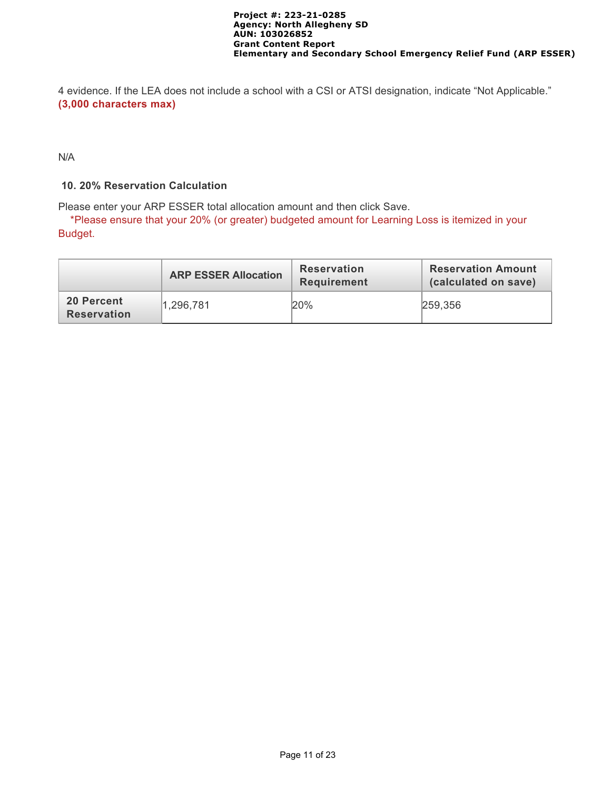4 evidence. If the LEA does not include a school with a CSI or ATSI designation, indicate "Not Applicable." **(3,000 characters max)**

N/A

### **10. 20% Reservation Calculation**

Please enter your ARP ESSER total allocation amount and then click Save.

 \*Please ensure that your 20% (or greater) budgeted amount for Learning Loss is itemized in your Budget.

|                                  | <b>ARP ESSER Allocation</b> | <b>Reservation</b><br><b>Requirement</b> | <b>Reservation Amount</b><br>(calculated on save) |  |
|----------------------------------|-----------------------------|------------------------------------------|---------------------------------------------------|--|
| 20 Percent<br><b>Reservation</b> | 1,296,781                   | 20%                                      | 259,356                                           |  |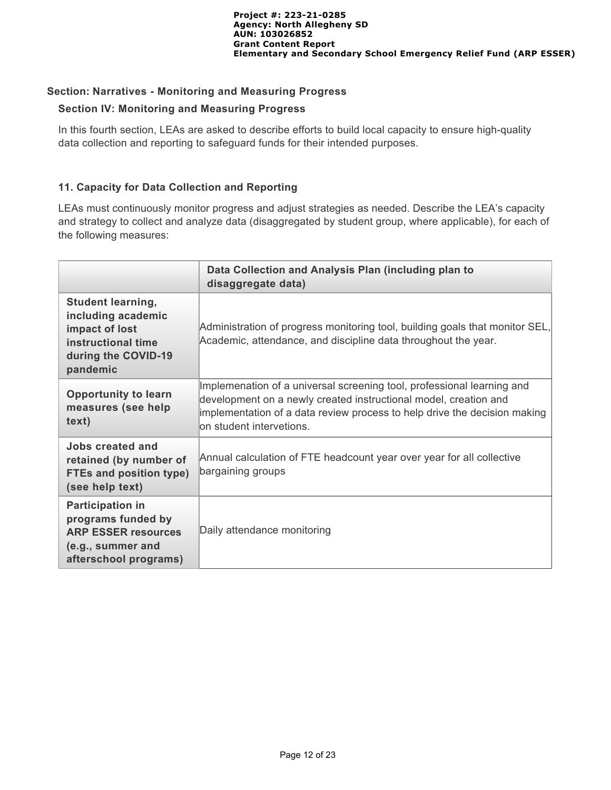### **Section: Narratives - Monitoring and Measuring Progress**

### **Section IV: Monitoring and Measuring Progress**

In this fourth section, LEAs are asked to describe efforts to build local capacity to ensure high-quality data collection and reporting to safeguard funds for their intended purposes.

### **11. Capacity for Data Collection and Reporting**

LEAs must continuously monitor progress and adjust strategies as needed. Describe the LEA's capacity and strategy to collect and analyze data (disaggregated by student group, where applicable), for each of the following measures:

|                                                                                                                           | Data Collection and Analysis Plan (including plan to<br>disaggregate data)                                                                                                                                                                           |
|---------------------------------------------------------------------------------------------------------------------------|------------------------------------------------------------------------------------------------------------------------------------------------------------------------------------------------------------------------------------------------------|
| <b>Student learning,</b><br>including academic<br>impact of lost<br>instructional time<br>during the COVID-19<br>pandemic | Administration of progress monitoring tool, building goals that monitor SEL,<br>Academic, attendance, and discipline data throughout the year.                                                                                                       |
| <b>Opportunity to learn</b><br>measures (see help<br>text)                                                                | Implemenation of a universal screening tool, professional learning and<br>development on a newly created instructional model, creation and<br>implementation of a data review process to help drive the decision making<br>lon student intervetions. |
| Jobs created and<br>retained (by number of<br><b>FTEs and position type)</b><br>(see help text)                           | Annual calculation of FTE headcount year over year for all collective<br>bargaining groups                                                                                                                                                           |
| <b>Participation in</b><br>programs funded by<br><b>ARP ESSER resources</b><br>(e.g., summer and<br>afterschool programs) | Daily attendance monitoring                                                                                                                                                                                                                          |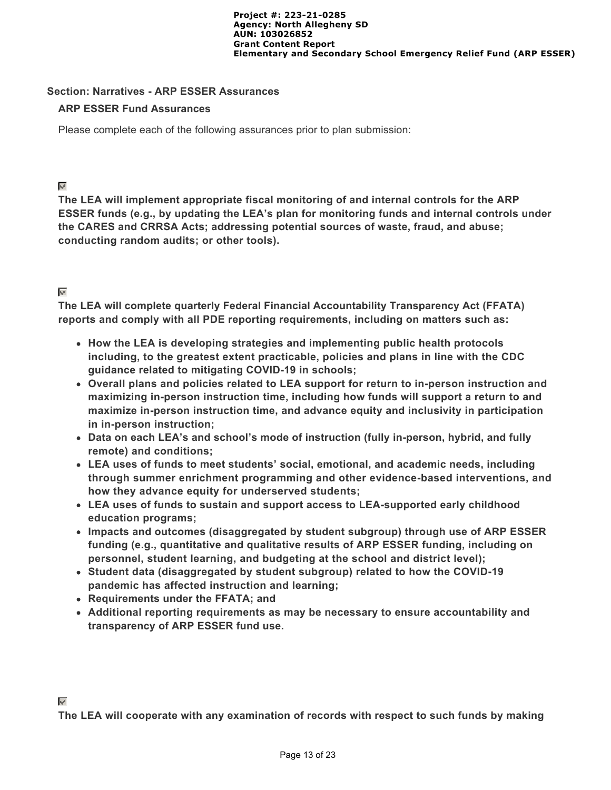### **Section: Narratives - ARP ESSER Assurances**

### **ARP ESSER Fund Assurances**

Please complete each of the following assurances prior to plan submission:

⊽

**The LEA will implement appropriate fiscal monitoring of and internal controls for the ARP ESSER funds (e.g., by updating the LEA's plan for monitoring funds and internal controls under the CARES and CRRSA Acts; addressing potential sources of waste, fraud, and abuse; conducting random audits; or other tools).**

### $\mathbf{w}^{\mathbf{r}}$

**The LEA will complete quarterly Federal Financial Accountability Transparency Act (FFATA) reports and comply with all PDE reporting requirements, including on matters such as:**

- **How the LEA is developing strategies and implementing public health protocols including, to the greatest extent practicable, policies and plans in line with the CDC guidance related to mitigating COVID-19 in schools;**
- **Overall plans and policies related to LEA support for return to in-person instruction and maximizing in-person instruction time, including how funds will support a return to and maximize in-person instruction time, and advance equity and inclusivity in participation in in-person instruction;**
- **Data on each LEA's and school's mode of instruction (fully in-person, hybrid, and fully remote) and conditions;**
- **LEA uses of funds to meet students' social, emotional, and academic needs, including through summer enrichment programming and other evidence-based interventions, and how they advance equity for underserved students;**
- **LEA uses of funds to sustain and support access to LEA-supported early childhood education programs;**
- **Impacts and outcomes (disaggregated by student subgroup) through use of ARP ESSER funding (e.g., quantitative and qualitative results of ARP ESSER funding, including on personnel, student learning, and budgeting at the school and district level);**
- **Student data (disaggregated by student subgroup) related to how the COVID-19 pandemic has affected instruction and learning;**
- **Requirements under the FFATA; and**
- **Additional reporting requirements as may be necessary to ensure accountability and transparency of ARP ESSER fund use.**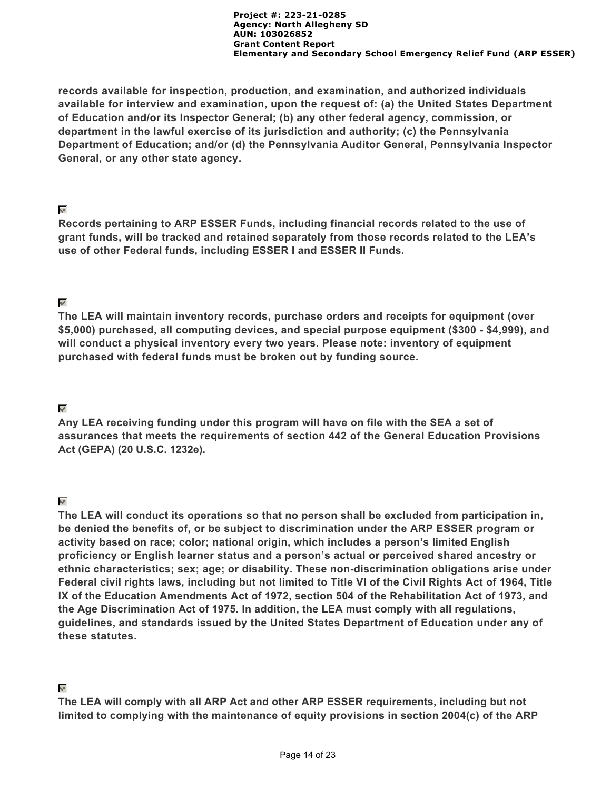**records available for inspection, production, and examination, and authorized individuals available for interview and examination, upon the request of: (a) the United States Department of Education and/or its Inspector General; (b) any other federal agency, commission, or department in the lawful exercise of its jurisdiction and authority; (c) the Pennsylvania Department of Education; and/or (d) the Pennsylvania Auditor General, Pennsylvania Inspector General, or any other state agency.**

### ⊽

**Records pertaining to ARP ESSER Funds, including financial records related to the use of grant funds, will be tracked and retained separately from those records related to the LEA's use of other Federal funds, including ESSER I and ESSER II Funds.**

# $\mathbf{w}^{\mathbf{r}}$

**The LEA will maintain inventory records, purchase orders and receipts for equipment (over \$5,000) purchased, all computing devices, and special purpose equipment (\$300 - \$4,999), and will conduct a physical inventory every two years. Please note: inventory of equipment purchased with federal funds must be broken out by funding source.**

# $\overline{\mathcal{L}}$

**Any LEA receiving funding under this program will have on file with the SEA a set of assurances that meets the requirements of section 442 of the General Education Provisions Act (GEPA) (20 U.S.C. 1232e).**

# $\mathbf{w}^{\mathbf{p}}$

**The LEA will conduct its operations so that no person shall be excluded from participation in, be denied the benefits of, or be subject to discrimination under the ARP ESSER program or activity based on race; color; national origin, which includes a person's limited English proficiency or English learner status and a person's actual or perceived shared ancestry or ethnic characteristics; sex; age; or disability. These non-discrimination obligations arise under Federal civil rights laws, including but not limited to Title VI of the Civil Rights Act of 1964, Title IX of the Education Amendments Act of 1972, section 504 of the Rehabilitation Act of 1973, and the Age Discrimination Act of 1975. In addition, the LEA must comply with all regulations, guidelines, and standards issued by the United States Department of Education under any of these statutes.**

# $\mathbf{v}^{\prime}$

**The LEA will comply with all ARP Act and other ARP ESSER requirements, including but not limited to complying with the maintenance of equity provisions in section 2004(c) of the ARP**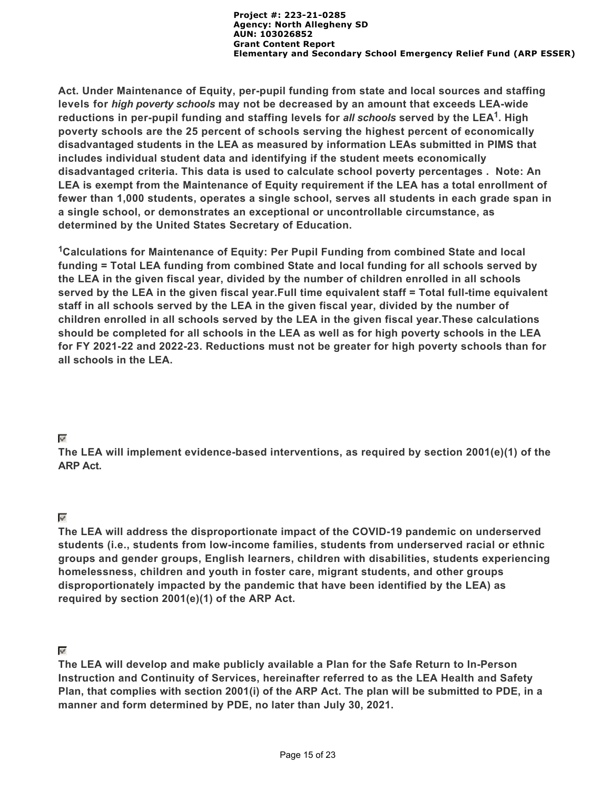**Act. Under Maintenance of Equity, per-pupil funding from state and local sources and staffing levels for** *high poverty schools* **may not be decreased by an amount that exceeds LEA-wide** reductions in per-pupil funding and staffing levels for *all schools* served by the LEA<sup>1</sup>. High **poverty schools are the 25 percent of schools serving the highest percent of economically disadvantaged students in the LEA as measured by information LEAs submitted in PIMS that includes individual student data and identifying if the student meets economically disadvantaged criteria. This data is used to calculate school poverty percentages . Note: An LEA is exempt from the Maintenance of Equity requirement if the LEA has a total enrollment of fewer than 1,000 students, operates a single school, serves all students in each grade span in a single school, or demonstrates an exceptional or uncontrollable circumstance, as determined by the United States Secretary of Education.**

<sup>1</sup>Calculations for Maintenance of Equity: Per Pupil Funding from combined State and local **funding = Total LEA funding from combined State and local funding for all schools served by the LEA in the given fiscal year, divided by the number of children enrolled in all schools served by the LEA in the given fiscal year.Full time equivalent staff = Total full-time equivalent staff in all schools served by the LEA in the given fiscal year, divided by the number of children enrolled in all schools served by the LEA in the given fiscal year.These calculations should be completed for all schools in the LEA as well as for high poverty schools in the LEA for FY 2021-22 and 2022-23. Reductions must not be greater for high poverty schools than for all schools in the LEA.**

# $\overline{\mathscr{S}}$

**The LEA will implement evidence-based interventions, as required by section 2001(e)(1) of the ARP Act.**

# $\overline{\mathscr{L}}$

**The LEA will address the disproportionate impact of the COVID-19 pandemic on underserved students (i.e., students from low-income families, students from underserved racial or ethnic groups and gender groups, English learners, children with disabilities, students experiencing homelessness, children and youth in foster care, migrant students, and other groups disproportionately impacted by the pandemic that have been identified by the LEA) as required by section 2001(e)(1) of the ARP Act.**

# $\epsilon_{\rm{eff}}$

**The LEA will develop and make publicly available a Plan for the Safe Return to In-Person Instruction and Continuity of Services, hereinafter referred to as the LEA Health and Safety Plan, that complies with section 2001(i) of the ARP Act. The plan will be submitted to PDE, in a manner and form determined by PDE, no later than July 30, 2021.**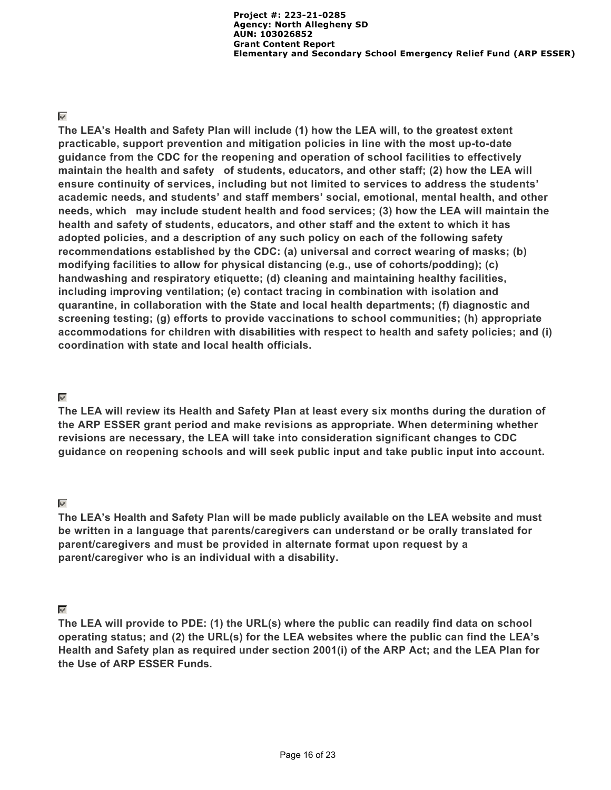### $\overline{\mathscr{S}}$

**The LEA's Health and Safety Plan will include (1) how the LEA will, to the greatest extent practicable, support prevention and mitigation policies in line with the most up-to-date guidance from the CDC for the reopening and operation of school facilities to effectively maintain the health and safety of students, educators, and other staff; (2) how the LEA will ensure continuity of services, including but not limited to services to address the students' academic needs, and students' and staff members' social, emotional, mental health, and other needs, which may include student health and food services; (3) how the LEA will maintain the health and safety of students, educators, and other staff and the extent to which it has adopted policies, and a description of any such policy on each of the following safety recommendations established by the CDC: (a) universal and correct wearing of masks; (b) modifying facilities to allow for physical distancing (e.g., use of cohorts/podding); (c) handwashing and respiratory etiquette; (d) cleaning and maintaining healthy facilities, including improving ventilation; (e) contact tracing in combination with isolation and quarantine, in collaboration with the State and local health departments; (f) diagnostic and screening testing; (g) efforts to provide vaccinations to school communities; (h) appropriate accommodations for children with disabilities with respect to health and safety policies; and (i) coordination with state and local health officials.**

### $\overline{\mathcal{L}}$

**The LEA will review its Health and Safety Plan at least every six months during the duration of the ARP ESSER grant period and make revisions as appropriate. When determining whether revisions are necessary, the LEA will take into consideration significant changes to CDC guidance on reopening schools and will seek public input and take public input into account.**

### $\mathbf{u}$

**The LEA's Health and Safety Plan will be made publicly available on the LEA website and must be written in a language that parents/caregivers can understand or be orally translated for parent/caregivers and must be provided in alternate format upon request by a parent/caregiver who is an individual with a disability.**

# $\mathbf{w}^{\prime}$

**The LEA will provide to PDE: (1) the URL(s) where the public can readily find data on school operating status; and (2) the URL(s) for the LEA websites where the public can find the LEA's Health and Safety plan as required under section 2001(i) of the ARP Act; and the LEA Plan for the Use of ARP ESSER Funds.**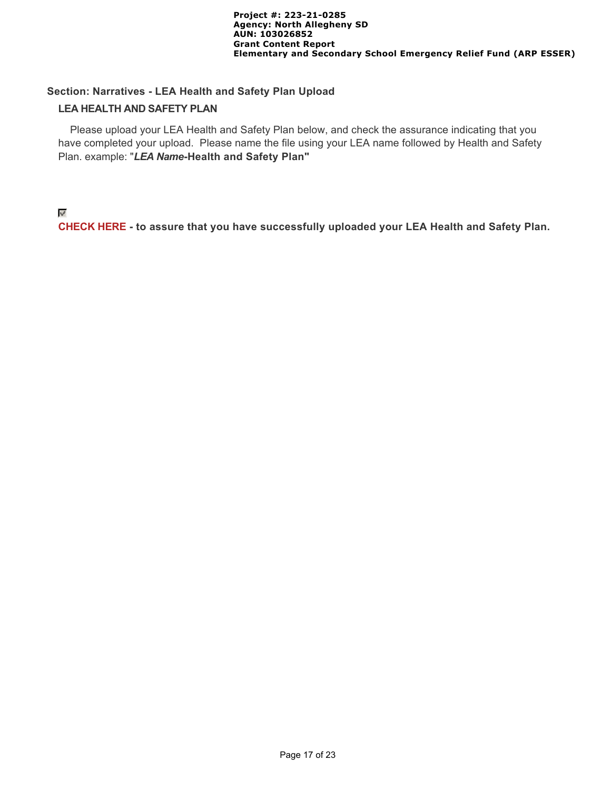### **Section: Narratives - LEA Health and Safety Plan Upload**

### **LEA HEALTH AND SAFETY PLAN**

 Please upload your LEA Health and Safety Plan below, and check the assurance indicating that you have completed your upload. Please name the file using your LEA name followed by Health and Safety Plan. example: "*LEA Name***-Health and Safety Plan"**

### $\psi^{\beta}$

**CHECK HERE - to assure that you have successfully uploaded your LEA Health and Safety Plan.**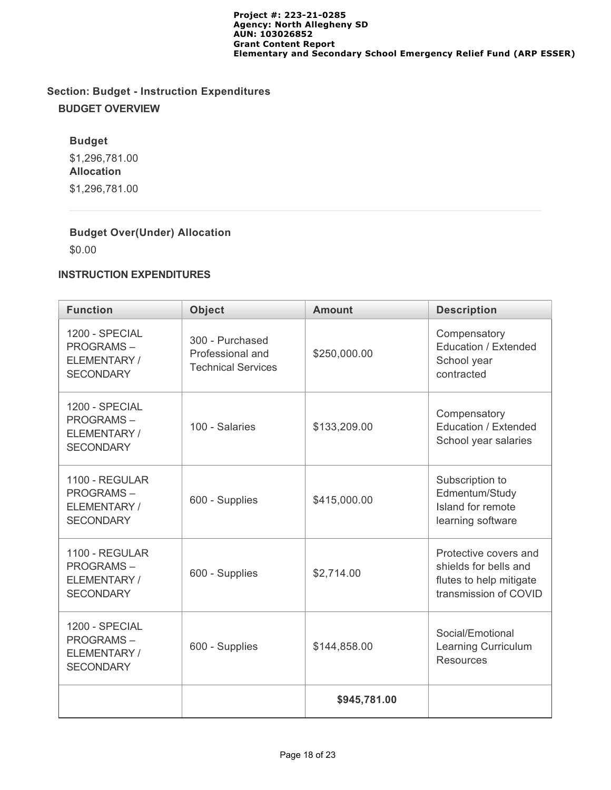# **Section: Budget - Instruction Expenditures BUDGET OVERVIEW**

# **Budget**

\$1,296,781.00 **Allocation** \$1,296,781.00

# **Budget Over(Under) Allocation**

\$0.00

# **INSTRUCTION EXPENDITURES**

| <b>Function</b>                                                       | <b>Object</b>                                                    | <b>Amount</b> | <b>Description</b>                                                                                 |
|-----------------------------------------------------------------------|------------------------------------------------------------------|---------------|----------------------------------------------------------------------------------------------------|
| 1200 - SPECIAL<br><b>PROGRAMS-</b><br>ELEMENTARY/<br><b>SECONDARY</b> | 300 - Purchased<br>Professional and<br><b>Technical Services</b> | \$250,000.00  | Compensatory<br>Education / Extended<br>School year<br>contracted                                  |
| 1200 - SPECIAL<br><b>PROGRAMS-</b><br>ELEMENTARY/<br><b>SECONDARY</b> | 100 - Salaries<br>\$133,209.00                                   |               | Compensatory<br>Education / Extended<br>School year salaries                                       |
| 1100 - REGULAR<br><b>PROGRAMS-</b><br>ELEMENTARY/<br><b>SECONDARY</b> | 600 - Supplies                                                   | \$415,000.00  | Subscription to<br>Edmentum/Study<br>Island for remote<br>learning software                        |
| 1100 - REGULAR<br><b>PROGRAMS-</b><br>ELEMENTARY/<br><b>SECONDARY</b> | 600 - Supplies                                                   | \$2,714.00    | Protective covers and<br>shields for bells and<br>flutes to help mitigate<br>transmission of COVID |
| 1200 - SPECIAL<br><b>PROGRAMS-</b><br>ELEMENTARY/<br><b>SECONDARY</b> | 600 - Supplies                                                   |               | Social/Emotional<br>Learning Curriculum<br><b>Resources</b>                                        |
|                                                                       |                                                                  | \$945,781.00  |                                                                                                    |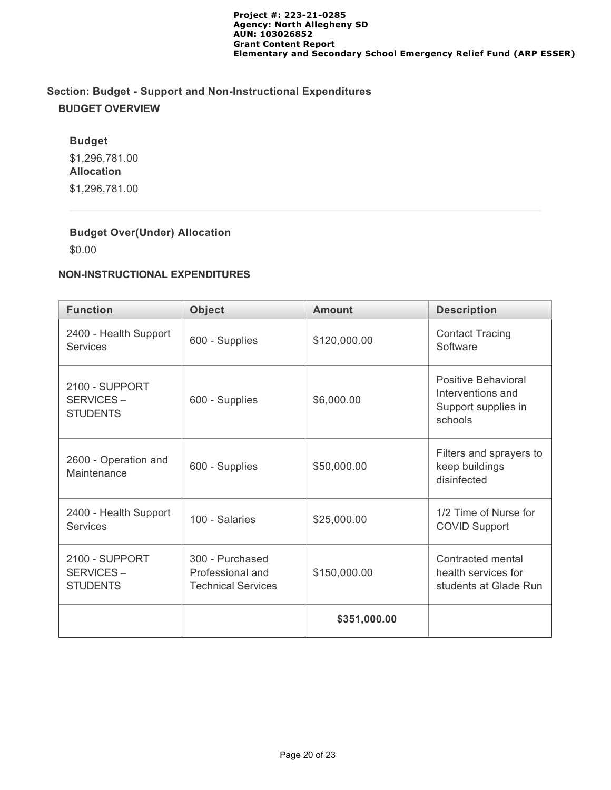# **Section: Budget - Support and Non-Instructional Expenditures BUDGET OVERVIEW**

# **Budget**

\$1,296,781.00 **Allocation** \$1,296,781.00

# **Budget Over(Under) Allocation**

\$0.00

# **NON-INSTRUCTIONAL EXPENDITURES**

| <b>Function</b>                                                                                                    | <b>Object</b>                | <b>Amount</b> | <b>Description</b>                                                         |  |  |
|--------------------------------------------------------------------------------------------------------------------|------------------------------|---------------|----------------------------------------------------------------------------|--|--|
| 2400 - Health Support<br>Services                                                                                  | 600 - Supplies               | \$120,000.00  | <b>Contact Tracing</b><br>Software                                         |  |  |
| 2100 - SUPPORT<br>SERVICES-<br><b>STUDENTS</b>                                                                     | 600 - Supplies<br>\$6,000.00 |               | Positive Behavioral<br>Interventions and<br>Support supplies in<br>schools |  |  |
| 2600 - Operation and<br>Maintenance                                                                                | 600 - Supplies               | \$50,000.00   | Filters and sprayers to<br>keep buildings<br>disinfected                   |  |  |
| 2400 - Health Support<br><b>Services</b>                                                                           | 100 - Salaries               | \$25,000.00   | 1/2 Time of Nurse for<br><b>COVID Support</b>                              |  |  |
| 2100 - SUPPORT<br>300 - Purchased<br>SERVICES-<br>Professional and<br><b>STUDENTS</b><br><b>Technical Services</b> |                              | \$150,000.00  | Contracted mental<br>health services for<br>students at Glade Run          |  |  |
|                                                                                                                    |                              | \$351,000.00  |                                                                            |  |  |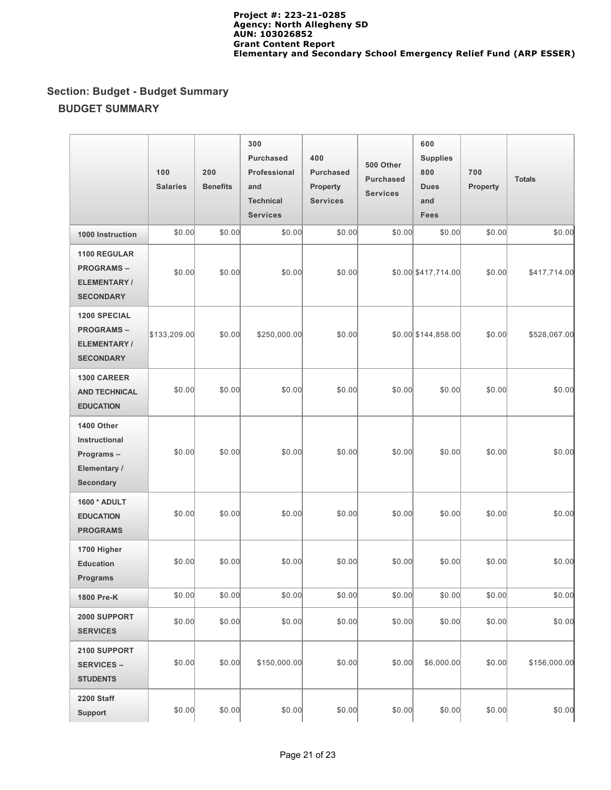# **Section: Budget - Budget Summary BUDGET SUMMARY**

|                                                                                   | 100<br><b>Salaries</b> | 200<br><b>Benefits</b> | 300<br><b>Purchased</b><br>Professional<br>and<br><b>Technical</b><br><b>Services</b> | 400<br><b>Purchased</b><br>Property<br><b>Services</b> | 500 Other<br><b>Purchased</b><br><b>Services</b> | 600<br><b>Supplies</b><br>800<br><b>Dues</b><br>and<br><b>Fees</b> | 700<br><b>Property</b> | <b>Totals</b> |
|-----------------------------------------------------------------------------------|------------------------|------------------------|---------------------------------------------------------------------------------------|--------------------------------------------------------|--------------------------------------------------|--------------------------------------------------------------------|------------------------|---------------|
| 1000 Instruction                                                                  | \$0.00                 | \$0.00                 | \$0.00                                                                                | \$0.00                                                 | \$0.00                                           | \$0.00                                                             | \$0.00                 | \$0.00        |
| <b>1100 REGULAR</b><br><b>PROGRAMS-</b><br><b>ELEMENTARY/</b><br><b>SECONDARY</b> | \$0.00                 | \$0.00                 | \$0.00                                                                                | \$0.00                                                 |                                                  | \$0.00 \$417,714.00                                                | \$0.00                 | \$417,714.00  |
| <b>1200 SPECIAL</b><br><b>PROGRAMS-</b><br><b>ELEMENTARY/</b><br><b>SECONDARY</b> | \$133,209.00           | \$0.00                 | \$250,000.00                                                                          | \$0.00                                                 |                                                  | \$0.00 \$144,858.00                                                | \$0.00                 | \$528,067.00  |
| <b>1300 CAREER</b><br><b>AND TECHNICAL</b><br><b>EDUCATION</b>                    | \$0.00                 | \$0.00                 | \$0.00                                                                                | \$0.00                                                 | \$0.00                                           | \$0.00                                                             | \$0.00                 | \$0.00        |
| 1400 Other<br>Instructional<br>Programs-<br>Elementary /<br><b>Secondary</b>      | \$0.00                 | \$0.00                 | \$0.00                                                                                | \$0.00                                                 | \$0.00                                           | \$0.00                                                             | \$0.00                 | \$0.00        |
| 1600 * ADULT<br><b>EDUCATION</b><br><b>PROGRAMS</b>                               | \$0.00                 | \$0.00                 | \$0.00                                                                                | \$0.00                                                 | \$0.00                                           | \$0.00                                                             | \$0.00                 | \$0.00        |
| 1700 Higher<br><b>Education</b><br><b>Programs</b>                                | \$0.00                 | \$0.00                 | \$0.00                                                                                | \$0.00                                                 | \$0.00                                           | \$0.00                                                             | \$0.00                 | \$0.00        |
| 1800 Pre-K                                                                        | \$0.00                 | \$0.00                 | \$0.00                                                                                | \$0.00                                                 | \$0.00                                           | \$0.00                                                             | \$0.00                 | \$0.00        |
| 2000 SUPPORT<br><b>SERVICES</b>                                                   | \$0.00                 | \$0.00                 | \$0.00                                                                                | \$0.00                                                 | \$0.00                                           | \$0.00                                                             | \$0.00                 | \$0.00        |
| 2100 SUPPORT<br><b>SERVICES -</b><br><b>STUDENTS</b>                              | \$0.00                 | \$0.00                 | \$150,000.00                                                                          | \$0.00                                                 | \$0.00                                           | \$6,000.00                                                         | \$0.00                 | \$156,000.00  |
| 2200 Staff<br>Support                                                             | \$0.00                 | \$0.00                 | \$0.00                                                                                | \$0.00                                                 | \$0.00                                           | \$0.00                                                             | \$0.00                 | \$0.00        |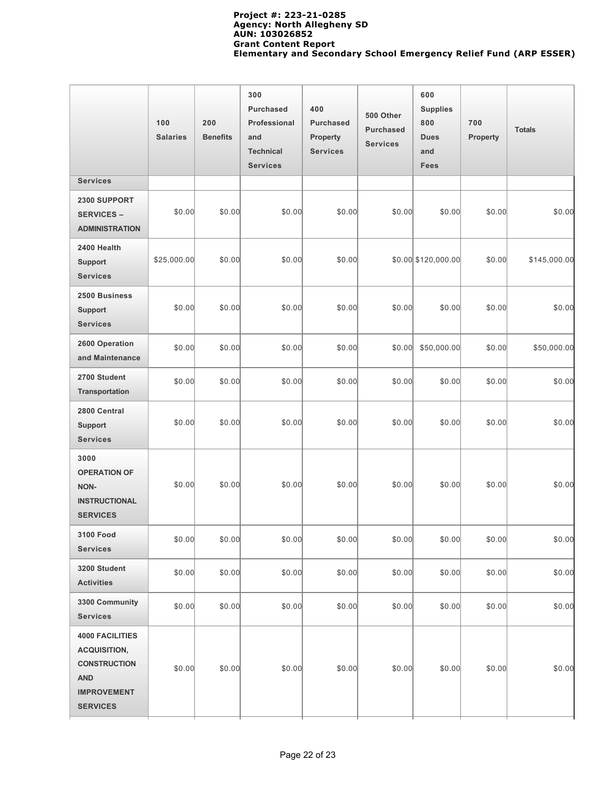|                                                                                                                             | 100<br><b>Salaries</b> | 200<br><b>Benefits</b> | 300<br><b>Purchased</b><br>Professional<br>and<br><b>Technical</b><br><b>Services</b> | 400<br><b>Purchased</b><br>Property<br><b>Services</b> | 500 Other<br><b>Purchased</b><br><b>Services</b> | 600<br><b>Supplies</b><br>800<br><b>Dues</b><br>and<br><b>Fees</b> | 700<br><b>Property</b> | <b>Totals</b> |
|-----------------------------------------------------------------------------------------------------------------------------|------------------------|------------------------|---------------------------------------------------------------------------------------|--------------------------------------------------------|--------------------------------------------------|--------------------------------------------------------------------|------------------------|---------------|
| <b>Services</b>                                                                                                             |                        |                        |                                                                                       |                                                        |                                                  |                                                                    |                        |               |
| 2300 SUPPORT<br><b>SERVICES –</b><br><b>ADMINISTRATION</b>                                                                  | \$0.00                 | \$0.00                 | \$0.00                                                                                | \$0.00                                                 | \$0.00                                           | \$0.00                                                             | \$0.00                 | \$0.00        |
| 2400 Health<br><b>Support</b><br><b>Services</b>                                                                            | \$25,000.00            | \$0.00                 | \$0.00                                                                                | \$0.00                                                 |                                                  | $$0.00$ $$120,000.00$                                              | \$0.00                 | \$145,000.00  |
| 2500 Business<br><b>Support</b><br><b>Services</b>                                                                          | \$0.00                 | \$0.00                 | \$0.00                                                                                | \$0.00                                                 | \$0.00                                           | \$0.00                                                             | \$0.00                 | \$0.00        |
| 2600 Operation<br>and Maintenance                                                                                           | \$0.00                 | \$0.00                 | \$0.00                                                                                | \$0.00                                                 | \$0.00                                           | \$50,000.00                                                        | \$0.00                 | \$50,000.00   |
| 2700 Student<br>Transportation                                                                                              | \$0.00                 | \$0.00                 | \$0.00                                                                                | \$0.00                                                 | \$0.00                                           | \$0.00                                                             | \$0.00                 | \$0.00        |
| 2800 Central<br><b>Support</b><br><b>Services</b>                                                                           | \$0.00                 | \$0.00                 | \$0.00                                                                                | \$0.00                                                 | \$0.00                                           | \$0.00                                                             | \$0.00                 | \$0.00        |
| 3000<br><b>OPERATION OF</b><br>NON-<br><b>INSTRUCTIONAL</b><br><b>SERVICES</b>                                              | \$0.00                 | \$0.00                 | \$0.00                                                                                | \$0.00                                                 | \$0.00                                           | \$0.00                                                             | \$0.00                 | \$0.00        |
| 3100 Food<br><b>Services</b>                                                                                                | \$0.00                 | \$0.00                 | \$0.00                                                                                | \$0.00                                                 | \$0.00                                           | \$0.00                                                             | \$0.00                 | \$0.00        |
| 3200 Student<br><b>Activities</b>                                                                                           | \$0.00                 | \$0.00                 | \$0.00                                                                                | \$0.00                                                 | \$0.00                                           | \$0.00                                                             | \$0.00                 | \$0.00        |
| 3300 Community<br><b>Services</b>                                                                                           | \$0.00                 | \$0.00                 | \$0.00                                                                                | \$0.00                                                 | \$0.00                                           | \$0.00                                                             | \$0.00                 | \$0.00        |
| <b>4000 FACILITIES</b><br><b>ACQUISITION,</b><br><b>CONSTRUCTION</b><br><b>AND</b><br><b>IMPROVEMENT</b><br><b>SERVICES</b> | \$0.00                 | \$0.00                 | \$0.00                                                                                | \$0.00                                                 | \$0.00                                           | \$0.00                                                             | \$0.00                 | \$0.00        |